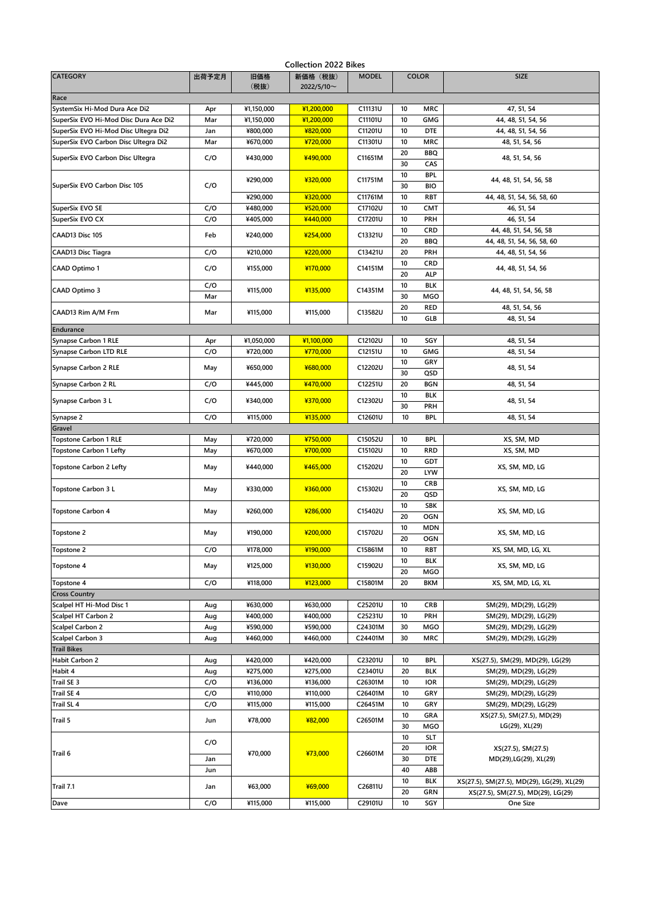| <b>Collection 2022 Bikes</b>          |       |             |                        |              |                      |                                                |  |  |  |  |  |
|---------------------------------------|-------|-------------|------------------------|--------------|----------------------|------------------------------------------------|--|--|--|--|--|
| <b>CATEGORY</b>                       | 出荷予定月 | 旧価格<br>(税抜) | 新価格 (税抜)<br>2022/5/10~ | <b>MODEL</b> | <b>COLOR</b>         | <b>SIZE</b>                                    |  |  |  |  |  |
| Race                                  |       |             |                        |              |                      |                                                |  |  |  |  |  |
| SystemSix Hi-Mod Dura Ace Di2         | Apr   | ¥1,150,000  | ¥1,200,000             | C11131U      | 10<br><b>MRC</b>     | 47, 51, 54                                     |  |  |  |  |  |
| SuperSix EVO Hi-Mod Disc Dura Ace Di2 | Mar   | ¥1,150,000  | ¥1,200,000             | C11101U      | 10<br><b>GMG</b>     | 44, 48, 51, 54, 56                             |  |  |  |  |  |
| SuperSix EVO Hi-Mod Disc Ultegra Di2  | Jan   | ¥800,000    | ¥820,000               | C11201U      | 10<br><b>DTE</b>     | 44, 48, 51, 54, 56                             |  |  |  |  |  |
| SuperSix EVO Carbon Disc Ultegra Di2  | Mar   | ¥670,000    | ¥720,000               | C11301U      | 10<br><b>MRC</b>     | 48, 51, 54, 56                                 |  |  |  |  |  |
|                                       |       |             |                        |              | 20<br><b>BBQ</b>     |                                                |  |  |  |  |  |
| SuperSix EVO Carbon Disc Ultegra      | C/O   | ¥430,000    | ¥490,000               | C11651M      | 30<br>CAS            | 48, 51, 54, 56                                 |  |  |  |  |  |
|                                       |       |             |                        |              | 10<br><b>BPL</b>     |                                                |  |  |  |  |  |
| SuperSix EVO Carbon Disc 105          | C/O   | ¥290,000    | ¥320,000               | C11751M      | 30<br>BIO            | 44, 48, 51, 54, 56, 58                         |  |  |  |  |  |
|                                       |       |             |                        | C11761M      |                      |                                                |  |  |  |  |  |
|                                       |       | ¥290,000    | ¥320,000               |              | 10<br><b>RBT</b>     | 44, 48, 51, 54, 56, 58, 60                     |  |  |  |  |  |
| SuperSix EVO SE                       | C/O   | ¥480,000    | ¥520,000               | C17102U      | 10<br><b>CMT</b>     | 46, 51, 54                                     |  |  |  |  |  |
| SuperSix EVO CX                       | C/O   | ¥405,000    | ¥440,000               | C17201U      | 10<br>PRH            | 46, 51, 54                                     |  |  |  |  |  |
| CAAD13 Disc 105                       | Feb   | ¥240,000    | ¥254,000               | C13321U      | 10<br><b>CRD</b>     | 44, 48, 51, 54, 56, 58                         |  |  |  |  |  |
|                                       |       |             |                        |              | 20<br>BBQ            | 44, 48, 51, 54, 56, 58, 60                     |  |  |  |  |  |
| CAAD13 Disc Tiagra                    | C/O   | ¥210,000    | ¥220,000               | C13421U      | 20<br>PRH            | 44, 48, 51, 54, 56                             |  |  |  |  |  |
| CAAD Optimo 1                         | C/O   | ¥155,000    | ¥170,000               | C14151M      | 10<br><b>CRD</b>     | 44, 48, 51, 54, 56                             |  |  |  |  |  |
|                                       |       |             |                        |              | 20<br><b>ALP</b>     |                                                |  |  |  |  |  |
|                                       | C/O   |             |                        |              | 10<br>BLK            |                                                |  |  |  |  |  |
| CAAD Optimo 3                         | Mar   | ¥115,000    | ¥135,000               | C14351M      | 30<br><b>MGO</b>     | 44, 48, 51, 54, 56, 58                         |  |  |  |  |  |
|                                       |       |             |                        |              | 20<br><b>RED</b>     | 48, 51, 54, 56                                 |  |  |  |  |  |
| CAAD13 Rim A/M Frm                    | Mar   | ¥115,000    | ¥115,000               | C13582U      | 10<br>GLB            | 48, 51, 54                                     |  |  |  |  |  |
| Endurance                             |       |             |                        |              |                      |                                                |  |  |  |  |  |
| Synapse Carbon 1 RLE                  |       | ¥1,050,000  | ¥1,100,000             | C12102U      | 10<br>SGY            | 48, 51, 54                                     |  |  |  |  |  |
|                                       | Apr   |             |                        |              |                      |                                                |  |  |  |  |  |
| <b>Synapse Carbon LTD RLE</b>         | C/O   | ¥720,000    | ¥770,000               | C12151U      | 10<br>GMG            | 48, 51, 54                                     |  |  |  |  |  |
| Synapse Carbon 2 RLE                  | May   | ¥650.000    | ¥680,000               | C12202U      | 10<br>GRY            | 48, 51, 54                                     |  |  |  |  |  |
|                                       |       |             |                        |              | 30<br>QSD            |                                                |  |  |  |  |  |
| Synapse Carbon 2 RL                   | C/O   | ¥445,000    | ¥470,000               | C12251U      | 20<br><b>BGN</b>     | 48, 51, 54                                     |  |  |  |  |  |
| Synapse Carbon 3 L                    | C/O   | ¥340,000    | ¥370,000               | C12302U      | 10<br><b>BLK</b>     | 48, 51, 54                                     |  |  |  |  |  |
|                                       |       |             |                        |              | 30<br>PRH            |                                                |  |  |  |  |  |
| Synapse 2                             | C/O   | ¥115,000    | ¥135,000               | C12601U      | 10<br><b>BPL</b>     | 48, 51, 54                                     |  |  |  |  |  |
| Gravel                                |       |             |                        |              |                      |                                                |  |  |  |  |  |
| <b>Topstone Carbon 1 RLE</b>          | May   | ¥720,000    | ¥750,000               | C15052U      | <b>BPL</b><br>10     | XS, SM, MD                                     |  |  |  |  |  |
| <b>Topstone Carbon 1 Lefty</b>        | May   | ¥670,000    | ¥700,000               | C15102U      | 10<br><b>RRD</b>     | XS, SM, MD                                     |  |  |  |  |  |
|                                       |       |             |                        |              | 10<br><b>GDT</b>     |                                                |  |  |  |  |  |
| <b>Topstone Carbon 2 Lefty</b>        | May   | ¥440,000    | ¥465,000               | C15202U      | 20<br><b>LYW</b>     | XS, SM, MD, LG                                 |  |  |  |  |  |
|                                       |       |             |                        |              | 10<br><b>CRB</b>     |                                                |  |  |  |  |  |
| Topstone Carbon 3 L                   | May   | ¥330,000    | ¥360,000               | C15302U      | 20<br>QSD            | XS, SM, MD, LG                                 |  |  |  |  |  |
|                                       |       |             |                        |              | 10<br>SBK            |                                                |  |  |  |  |  |
| <b>Topstone Carbon 4</b>              | May   | ¥260,000    | ¥286,000               | C15402U      |                      | XS, SM, MD, LG                                 |  |  |  |  |  |
|                                       |       |             |                        |              | 20<br><b>OGN</b>     |                                                |  |  |  |  |  |
| Topstone 2                            | May   | ¥190,000    | ¥200,000               | C15702U      | 10<br><b>MDN</b>     | XS, SM, MD, LG                                 |  |  |  |  |  |
|                                       |       |             |                        |              | 20<br><b>OGN</b>     |                                                |  |  |  |  |  |
| Topstone 2                            | C/O   | ¥178,000    | ¥190,000               | C15861M      | 10<br>RBT            | XS, SM, MD, LG, XL                             |  |  |  |  |  |
| Topstone 4                            | May   | ¥125,000    | ¥130,000               | C15902U      | 10<br>BLK            | XS, SM, MD, LG                                 |  |  |  |  |  |
|                                       |       |             |                        |              | 20<br>MGO            |                                                |  |  |  |  |  |
| Topstone 4                            | C/O   | ¥118,000    | ¥123,000               | C15801M      | 20<br><b>BKM</b>     | XS, SM, MD, LG, XL                             |  |  |  |  |  |
| <b>Cross Country</b>                  |       |             |                        |              |                      |                                                |  |  |  |  |  |
| Scalpel HT Hi-Mod Disc 1              | Aug   | ¥630,000    | ¥630,000               | C25201U      | 10<br><b>CRB</b>     | SM(29), MD(29), LG(29)                         |  |  |  |  |  |
| Scalpel HT Carbon 2                   | Aug   | ¥400,000    | ¥400,000               | C25231U      | 10<br>PRH            | SM(29), MD(29), LG(29)                         |  |  |  |  |  |
| <b>Scalpel Carbon 2</b>               | Aug   | ¥590,000    | ¥590,000               | C24301M      | 30<br><b>MGO</b>     | SM(29), MD(29), LG(29)                         |  |  |  |  |  |
| Scalpel Carbon 3                      | Aug   | ¥460,000    | ¥460,000               | C24401M      | 30<br><b>MRC</b>     | SM(29), MD(29), LG(29)                         |  |  |  |  |  |
| <b>Trail Bikes</b>                    |       |             |                        |              |                      |                                                |  |  |  |  |  |
| <b>Habit Carbon 2</b>                 | Aug   | ¥420,000    | ¥420,000               | C23201U      | 10<br>BPL            | XS(27.5), SM(29), MD(29), LG(29)               |  |  |  |  |  |
|                                       |       |             |                        |              |                      |                                                |  |  |  |  |  |
| Habit 4                               | Aug   | ¥275,000    | ¥275,000               | C23401U      | <b>BLK</b><br>20     | SM(29), MD(29), LG(29)                         |  |  |  |  |  |
| Trail SE 3                            | C/O   | ¥136,000    | ¥136,000               | C26301M      | 10<br><b>IOR</b>     | SM(29), MD(29), LG(29)                         |  |  |  |  |  |
| <b>Trail SE 4</b>                     | C/O   | ¥110,000    | ¥110,000               | C26401M      | 10<br>GRY            | SM(29), MD(29), LG(29)                         |  |  |  |  |  |
| Trail SL 4                            | C/O   | ¥115,000    | ¥115,000               | C26451M      | 10<br>GRY            | SM(29), MD(29), LG(29)                         |  |  |  |  |  |
| Trail 5                               | Jun   | ¥78,000     | ¥82,000                | C26501M      | 10<br>GRA            | XS(27.5), SM(27.5), MD(29)                     |  |  |  |  |  |
|                                       |       |             |                        |              | 30<br>MGO            | LG(29), XL(29)                                 |  |  |  |  |  |
|                                       |       |             |                        |              | $10\,$<br><b>SLT</b> |                                                |  |  |  |  |  |
|                                       | C/O   |             |                        |              | 20<br><b>IOR</b>     | XS(27.5), SM(27.5)                             |  |  |  |  |  |
| Trail 6                               | Jan   | ¥70,000     | ¥73,000                | C26601M      | 30<br><b>DTE</b>     | MD(29), LG(29), XL(29)                         |  |  |  |  |  |
|                                       | Jun   |             |                        |              | 40<br>ABB            |                                                |  |  |  |  |  |
|                                       |       |             |                        |              | 10<br><b>BLK</b>     | XS(27.5), SM(27.5), MD(29), LG(29), XL(29)     |  |  |  |  |  |
| Trail 7.1                             | Jan   | ¥63,000     | ¥69,000                | C26811U      | 20<br>GRN            |                                                |  |  |  |  |  |
| Dave                                  | C/O   | ¥115,000    | ¥115,000               | C29101U      | 10<br>SGY            | XS(27.5), SM(27.5), MD(29), LG(29)<br>One Size |  |  |  |  |  |
|                                       |       |             |                        |              |                      |                                                |  |  |  |  |  |